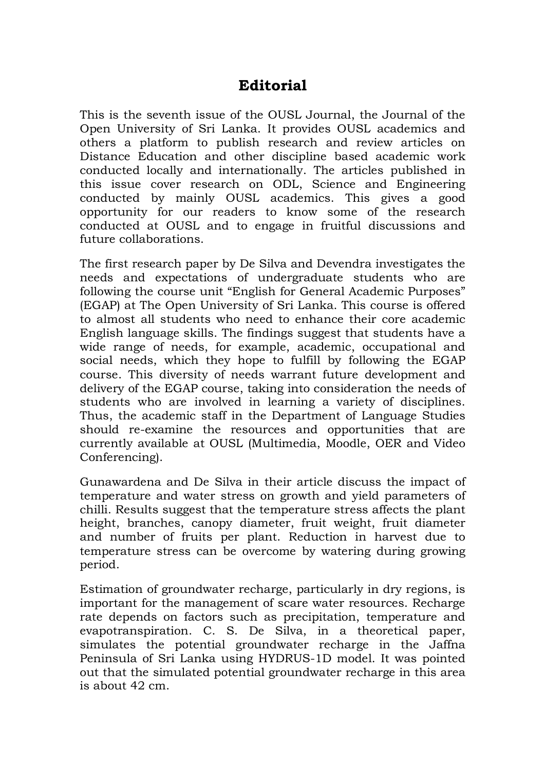## **Editorial**

This is the seventh issue of the OUSL Journal, the Journal of the Open University of Sri Lanka. It provides OUSL academics and others a platform to publish research and review articles on Distance Education and other discipline based academic work conducted locally and internationally. The articles published in this issue cover research on ODL, Science and Engineering conducted by mainly OUSL academics. This gives a good opportunity for our readers to know some of the research conducted at OUSL and to engage in fruitful discussions and future collaborations.

The first research paper by De Silva and Devendra investigates the needs and expectations of undergraduate students who are following the course unit "English for General Academic Purposes" (EGAP) at The Open University of Sri Lanka. This course is offered to almost all students who need to enhance their core academic English language skills. The findings suggest that students have a wide range of needs, for example, academic, occupational and social needs, which they hope to fulfill by following the EGAP course. This diversity of needs warrant future development and delivery of the EGAP course, taking into consideration the needs of students who are involved in learning a variety of disciplines. Thus, the academic staff in the Department of Language Studies should re-examine the resources and opportunities that are currently available at OUSL (Multimedia, Moodle, OER and Video Conferencing).

Gunawardena and De Silva in their article discuss the impact of temperature and water stress on growth and yield parameters of chilli. Results suggest that the temperature stress affects the plant height, branches, canopy diameter, fruit weight, fruit diameter and number of fruits per plant. Reduction in harvest due to temperature stress can be overcome by watering during growing period.

Estimation of groundwater recharge, particularly in dry regions, is important for the management of scare water resources. Recharge rate depends on factors such as precipitation, temperature and evapotranspiration. C. S. De Silva, in a theoretical paper, simulates the potential groundwater recharge in the Jaffna Peninsula of Sri Lanka using HYDRUS-1D model. It was pointed out that the simulated potential groundwater recharge in this area is about 42 cm.